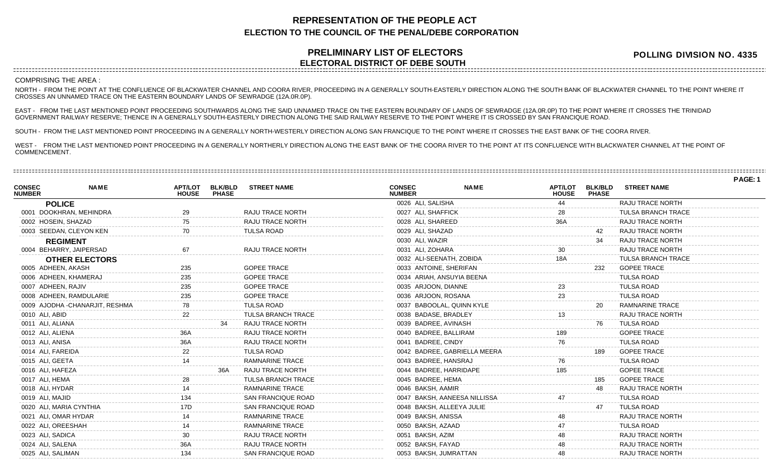## **REPRESENTATION OF THE PEOPLE ACT ELECTION TO THE COUNCIL OF THE PENAL/DEBE CORPORATION**

## **PRELIMINARY LIST OF ELECTORS ELECTORAL DISTRICT OF DEBE SOUTH**

**POLLING DIVISION NO. 4335**

COMPRISING THE AREA :

NORTH - FROM THE POINT AT THE CONFLUENCE OF BLACKWATER CHANNEL AND COORA RIVER, PROCEEDING IN A GENERALLY SOUTH-EASTERLY DIRECTION ALONG THE SOUTH BANK OF BLACKWATER CHANNEL TO THE POINT WHERE IT CROSSES AN UNNAMED TRACE ON THE EASTERN BOUNDARY LANDS OF SEWRADGE (12A.0R.0P).

EAST - FROM THE LAST MENTIONED POINT PROCEEDING SOUTHWARDS ALONG THE SAID UNNAMED TRACE ON THE EASTERN BOUNDARY OF LANDS OF SEWRADGE (12A.0R.0P) TO THE POINT WHERE IT CROSSES THE TRINIDAD GOVERNMENT RAILWAY RESERVE; THENCE IN A GENERALLY SOUTH-EASTERLY DIRECTION ALONG THE SAID RAILWAY RESERVE TO THE POINT WHERE IT IS CROSSED BY SAN FRANCIQUE ROAD.

SOUTH - FROM THE LAST MENTIONED POINT PROCEEDING IN A GENERALLY NORTH-WESTERLY DIRECTION ALONG SAN FRANCIQUE TO THE POINT WHERE IT CROSSES THE EAST BANK OF THE COORA RIVER.

WEST - FROM THE LAST MENTIONED POINT PROCEEDING IN A GENERALLY NORTHERLY DIRECTION ALONG THE EAST BANK OF THE COORA RIVER TO THE POINT AT ITS CONFLUENCE WITH BLACKWATER CHANNEL AT THE POINT OF COMMENCEMENT.

|                                |                                 |                                |                                |                           |                                |             |                                |                                |                           | PAGE: 1 |
|--------------------------------|---------------------------------|--------------------------------|--------------------------------|---------------------------|--------------------------------|-------------|--------------------------------|--------------------------------|---------------------------|---------|
| <b>CONSEC</b><br><b>NUMBER</b> | <b>NAME</b>                     | <b>APT/LOT</b><br><b>HOUSE</b> | <b>BLK/BLD</b><br><b>PHASE</b> | <b>STREET NAME</b>        | <b>CONSEC</b><br><b>NUMBER</b> | <b>NAME</b> | <b>APT/LOT</b><br><b>HOUSE</b> | <b>BLK/BLD</b><br><b>PHASE</b> | <b>STREET NAME</b>        |         |
|                                | <b>POLICE</b>                   |                                |                                |                           | 0026 ALI, SALISHA              |             | 44                             |                                | RAJU TRACE NORTH          |         |
|                                | 0001 DOOKHRAN, MEHINDRA         | 29                             |                                | RAJU TRACE NORTH          | 0027 ALI, SHAFFICK             |             |                                |                                | <b>TULSA BRANCH TRACE</b> |         |
|                                | 0002 HOSEIN, SHAZAD             | 75.                            |                                | RAJU TRACE NORTH          | 0028 ALI, SHAREED              |             | 36A                            |                                | RAJU TRACE NORTH          |         |
|                                | 0003 SEEDAN, CLEYON KEN         | 70                             |                                | TULSA ROAD                | 0029 ALI, SHAZAD               |             |                                | 42                             | RAJU TRACE NORTH          |         |
|                                | <b>REGIMENT</b>                 |                                |                                |                           | 0030 ALI, WAZIR                |             |                                | 34                             | RAJU TRACE NORTH          |         |
|                                | 0004 BEHARRY, JAIPERSAD         | 67                             |                                | RAJU TRACE NORTH          | 0031 ALI, ZOHARA               |             |                                |                                | RAJU TRACE NORTH          |         |
|                                | <b>OTHER ELECTORS</b>           |                                |                                |                           | 0032 ALI-SEENATH, ZOBIDA       |             | 18A                            |                                | <b>TULSA BRANCH TRACE</b> |         |
|                                | 0005 ADHEEN, AKASH              | 235                            |                                | <b>GOPEE TRACE</b>        | 0033 ANTOINE, SHERIFAN         |             |                                | 232                            | <b>GOPEE TRACE</b>        |         |
|                                | 0006 ADHEEN, KHAMERAJ           | 235                            |                                | <b>GOPEE TRACE</b>        | 0034 ARIAH, ANSUYIA BEENA      |             |                                |                                | <b>TULSA ROAD</b>         |         |
|                                | 0007 ADHEEN, RAJIV              | 235                            |                                | <b>GOPEE TRACE</b>        | 0035 ARJOON, DIANNE            |             |                                |                                | <b>TULSA ROAD</b>         |         |
|                                | 0008 ADHEEN, RAMDULARIE         |                                |                                | <b>GOPEE TRACE</b>        | 0036 ARJOON, ROSANA            |             |                                |                                | <b>TULSA ROAD</b>         |         |
|                                | 0009 AJODHA - CHANARJIT, RESHMA |                                |                                | <b>TULSA ROAD</b>         | 0037 BABOOLAL, QUINN KYLE      |             |                                | 20                             | <b>RAMNARINE TRACE</b>    |         |
|                                | 0010 ALI, ABID                  |                                |                                | <b>TULSA BRANCH TRACE</b> | 0038 BADASE, BRADLEY           |             |                                |                                | <b>RAJU TRACE NORTH</b>   |         |
|                                | 0011 ALI, ALIANA                |                                | 34                             | RAJU TRACE NORTH          | 0039 BADREE, AVINASH           |             |                                | 76                             | <b>TULSA ROAD</b>         |         |
|                                | 0012 ALI, ALIENA                | 36A                            |                                | RAJU TRACE NORTH          | 0040 BADREE, BALLIRAM          |             |                                |                                | <b>GOPEE TRACE</b>        |         |
|                                | 0013 ALI, ANISA                 | 36A                            |                                | RAJU TRACE NORTH          | 0041 BADREE, CINDY             |             | 76                             |                                | <b>TULSA ROAD</b>         |         |
|                                | 0014 ALI, FAREIDA               | 22                             |                                | <b>TULSA ROAD</b>         | 0042 BADREE, GABRIELLA MEERA   |             |                                | 189                            | <b>GOPEE TRACE</b>        |         |
|                                | 0015 ALI, GEETA                 |                                |                                | <b>RAMNARINE TRACE</b>    | 0043 BADREE, HANSRAJ           |             |                                |                                | <b>TULSA ROAD</b>         |         |
|                                | 0016 ALI, HAFEZA                |                                | 36A                            | <b>RAJU TRACE NORTH</b>   | 0044 BADREE, HARRIDAPE         |             |                                |                                | <b>GOPEE TRACE</b>        |         |
|                                | 0017 ALI, HEMA                  |                                |                                | <b>TULSA BRANCH TRACE</b> | 0045 BADREE, HEMA              |             |                                | 185                            | <b>GOPEE TRACE</b>        |         |
|                                | 0018 ALI, HYDAR                 |                                |                                | <b>RAMNARINE TRACE</b>    | 0046 BAKSH, AAMIR              |             |                                | 48                             | <b>RAJU TRACE NORTH</b>   |         |
|                                | 0019 ALI, MAJID                 |                                |                                | <b>SAN FRANCIQUE ROAD</b> | 0047 BAKSH, AANEESA NILLISSA   |             |                                |                                | <b>TULSA ROAD</b>         |         |
|                                | 0020 ALI, MARIA CYNTHIA         |                                |                                | <b>SAN FRANCIQUE ROAD</b> | 0048 BAKSH, ALLEEYA JULIE      |             |                                | 47                             | <b>TULSA ROAD</b>         |         |
|                                | 0021 ALI, OMAR HYDAR            |                                |                                | <b>RAMNARINE TRACE</b>    | 0049 BAKSH, ANISSA             |             |                                |                                | RAJU TRACE NORTH          |         |
|                                | 0022 ALI, OREESHAH              |                                |                                | <b>RAMNARINE TRACE</b>    | 0050 BAKSH, AZAAD              |             |                                |                                | <b>TULSA ROAD</b>         |         |
|                                | 0023 ALI, SADICA                | 30                             |                                | RAJU TRACE NORTH          | 0051 BAKSH, AZIM               |             |                                |                                | <b>RAJU TRACE NORTH</b>   |         |
|                                | 0024 ALI, SALENA                | 36A                            |                                | RAJU TRACE NORTH          | 0052 BAKSH, FAYAD              |             |                                |                                | RAJU TRACE NORTH          |         |
|                                | 0025 ALI, SALIMAN               | 134                            |                                | SAN FRANCIQUE ROAD        | 0053 BAKSH, JUMRATTAN          |             | 48                             |                                | RAJU TRACE NORTH          |         |
|                                |                                 |                                |                                |                           |                                |             |                                |                                |                           |         |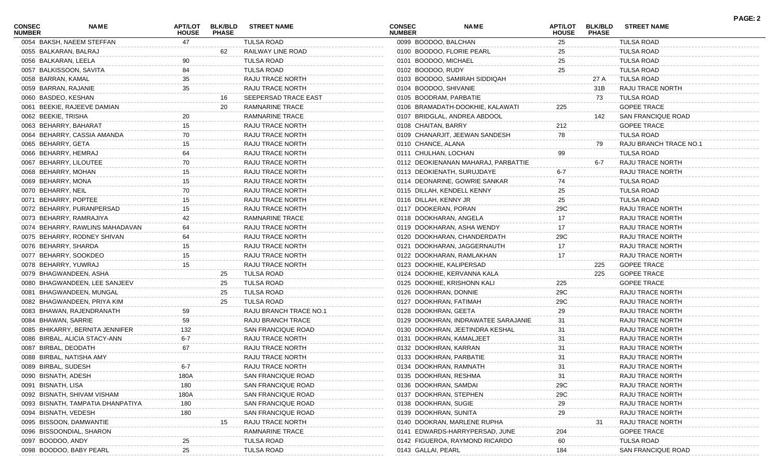| <b>CONSEC</b><br><b>NUMBER</b> | <b>NAME</b>                       | APT/LOT<br><b>HOUSE</b> | <b>BLK/BLD</b><br><b>PHASE</b> | <b>STREET NAME</b>       | <b>CONSEC</b><br><b>NUMBER</b> | <b>NAME</b>                         | <b>APT/LOT</b><br><b>HOUSE</b> | <b>BLK/BLD</b><br><b>PHASE</b> | <b>STREET NAME</b>     | <b>PAGE: 2</b> |
|--------------------------------|-----------------------------------|-------------------------|--------------------------------|--------------------------|--------------------------------|-------------------------------------|--------------------------------|--------------------------------|------------------------|----------------|
|                                | 0054 BAKSH, NAEEM STEFFAN         | 47                      |                                | <b>TULSA ROAD</b>        | 0099 BOODOO, BALCHAN           |                                     | 25                             |                                | <b>TULSA ROAD</b>      |                |
| 0055 BALKARAN, BALRAJ          |                                   |                         | 62                             | RAILWAY LINE ROAD        |                                | 0100 BOODOO, FLORIE PEARL           | 25                             |                                | TULSA ROAD             |                |
| 0056 BALKARAN, LEELA           |                                   | 90                      |                                | <b>TULSA ROAD</b>        | 0101 BOODOO, MICHAEL           |                                     | 25                             |                                | <b>TULSA ROAD</b>      |                |
|                                | 0057 BALKISSOON, SAVITA           | 84                      |                                | <b>TULSA ROAD</b>        | 0102 BOODOO, RUDY              |                                     | 25                             |                                | <b>TULSA ROAD</b>      |                |
| 0058 BARRAN, KAMAL             |                                   | 35                      |                                | RAJU TRACE NORTH         |                                | 0103 BOODOO, SAMIRAH SIDDIQAH       |                                | 27 A                           | <b>TULSA ROAD</b>      |                |
| 0059 BARRAN, RAJANIE           |                                   | 35                      |                                | RAJU TRACE NORTH         | 0104 BOODOO, SHIVANIE          |                                     |                                | 31B                            | RAJU TRACE NORTH       |                |
| 0060 BASDEO, KESHAN            |                                   |                         | 16                             | SEEPERSAD TRACE EAST     | 0105 BOODRAM, PARBATIE         |                                     |                                | 73                             | TULSA ROAD             |                |
|                                | 0061 BEEKIE, RAJEEVE DAMIAN       |                         | 20                             | RAMNARINE TRACE          |                                | 0106 BRAMADATH-DOOKHIE, KALAWATI    | 225                            |                                | <b>GOPEE TRACE</b>     |                |
| 0062 BEEKIE, TRISHA            |                                   | 20                      |                                | RAMNARINE TRACE          |                                | 0107 BRIDGLAL, ANDREA ABDOOL        |                                | 142                            | SAN FRANCIQUE ROAD     |                |
| 0063 BEHARRY, BAHARAT          |                                   | 15                      |                                | RAJU TRACE NORTH         | 0108 CHAITAN, BARRY            |                                     | 212                            |                                | <b>GOPEE TRACE</b>     |                |
|                                | 0064 BEHARRY, CASSIA AMANDA       | 70                      |                                | RAJU TRACE NORTH         |                                | 0109 CHANARJIT, JEEWAN SANDESH      | 78                             |                                | TULSA ROAD             |                |
| 0065 BEHARRY, GETA             |                                   | 15                      |                                | RAJU TRACE NORTH         | 0110 CHANCE, ALANA             |                                     |                                | 79                             | RAJU BRANCH TRACE NO.1 |                |
| 0066 BEHARRY, HEMRAJ           |                                   | 64                      |                                | RAJU TRACE NORTH         | 0111 CHULHAN, LOCHAN           |                                     | 99                             |                                | <b>TULSA ROAD</b>      |                |
|                                | 0067 BEHARRY, LILOUTEE            | 70                      |                                | RAJU TRACE NORTH         |                                | 0112 DEOKIENANAN MAHARAJ, PARBATTIE |                                | 6-7                            | RAJU TRACE NORTH       |                |
| 0068 BEHARRY, MOHAN            |                                   | 15                      |                                | RAJU TRACE NORTH         |                                | 0113 DEOKIENATH, SURUJDAYE          | 6-7                            |                                | RAJU TRACE NORTH       |                |
| 0069 BEHARRY, MONA             |                                   | 15                      |                                | RAJU TRACE NORTH         |                                | 0114 DEONARINE, GOWRIE SANKAR       | 74                             |                                | TULSA ROAD             |                |
| 0070 BEHARRY, NEIL             |                                   | 70                      |                                | RAJU TRACE NORTH         |                                | 0115 DILLAH, KENDELL KENNY          | 25                             |                                | <b>TULSA ROAD</b>      |                |
| 0071 BEHARRY, POPTEE           |                                   | 15                      |                                | RAJU TRACE NORTH         | 0116 DILLAH, KENNY JR          |                                     | 25                             |                                | <b>TULSA ROAD</b>      |                |
|                                | 0072 BEHARRY, PURANPERSAD         | 15                      |                                | RAJU TRACE NORTH         | 0117 DOOKERAN, PORAN           |                                     | 29C                            |                                | RAJU TRACE NORTH       |                |
|                                | 0073 BEHARRY, RAMRAJIYA           | 42                      |                                | RAMNARINE TRACE          | 0118 DOOKHARAN, ANGELA         |                                     | 17                             |                                | RAJU TRACE NORTH       |                |
|                                | 0074 BEHARRY, RAWLINS MAHADAVAN   | 64                      |                                | RAJU TRACE NORTH         |                                | 0119 DOOKHARAN, ASHA WENDY          | 17                             |                                | RAJU TRACE NORTH       |                |
|                                | 0075 BEHARRY, RODNEY SHIVAN       | 64                      |                                | RAJU TRACE NORTH         |                                | 0120 DOOKHARAN, CHANDERDATH         | 29C                            |                                | RAJU TRACE NORTH       |                |
| 0076 BEHARRY, SHARDA           |                                   | 15                      |                                | RAJU TRACE NORTH         |                                | 0121 DOOKHARAN, JAGGERNAUTH         | 17                             |                                | RAJU TRACE NORTH       |                |
|                                | 0077 BEHARRY, SOOKDEO             | 15                      |                                | RAJU TRACE NORTH         |                                | 0122 DOOKHARAN, RAMLAKHAN           | 17                             |                                | RAJU TRACE NORTH       |                |
| 0078 BEHARRY, YUWRAJ           |                                   | 15                      |                                | RAJU TRACE NORTH         | 0123 DOOKHIE, KALIPERSAD       |                                     |                                | 225                            | <b>GOPEE TRACE</b>     |                |
|                                | 0079 BHAGWANDEEN, ASHA            |                         | 25                             | TULSA ROAD               |                                | 0124 DOOKHIE, KERVANNA KALA         |                                | 225                            | <b>GOPEE TRACE</b>     |                |
|                                | 0080 BHAGWANDEEN, LEE SANJEEV     |                         |                                | TULSA ROAD               |                                | 0125 DOOKHIE, KRISHONN KALI         | 225                            |                                | <b>GOPEE TRACE</b>     |                |
|                                |                                   |                         | 25                             |                          |                                |                                     |                                |                                |                        |                |
|                                | 0081 BHAGWANDEEN, MUNGAL          |                         | 25                             | TULSA ROAD               | 0126 DOOKHRAN, DONNIE          |                                     | 29C                            |                                | RAJU TRACE NORTH       |                |
|                                | 0082 BHAGWANDEEN, PRIYA KIM       |                         | 25                             | TULSA ROAD               | 0127 DOOKHRAN, FATIMAH         |                                     | 29C                            |                                | RAJU TRACE NORTH       |                |
|                                | 0083 BHAWAN, RAJENDRANATH         | 59                      |                                | RAJU BRANCH TRACE NO.1   | 0128 DOOKHRAN, GEETA           |                                     | 29                             |                                | RAJU TRACE NORTH       |                |
| 0084 BHAWAN, SARRIE            |                                   | 59                      |                                | <b>RAJU BRANCH TRACE</b> |                                | 0129 DOOKHRAN, INDRAWATEE SARAJANIE | 31                             |                                | RAJU TRACE NORTH       |                |
|                                | 0085 BHIKARRY, BERNITA JENNIFER   | 132                     |                                | SAN FRANCIQUE ROAD       |                                | 0130 DOOKHRAN, JEETINDRA KESHAL     | 31                             |                                | RAJU TRACE NORTH       |                |
|                                | 0086 BIRBAL, ALICIA STACY-ANN     | 6-7                     |                                | RAJU TRACE NORTH         |                                | 0131 DOOKHRAN, KAMALJEET            | 31                             |                                | RAJU TRACE NORTH       |                |
| 0087 BIRBAL, DEODATH           |                                   | 67                      |                                | RAJU TRACE NORTH         | 0132 DOOKHRAN, KARRAN          |                                     | 31                             |                                | RAJU TRACE NORTH       |                |
|                                | 0088 BIRBAL, NATISHA AMY          |                         |                                | RAJU TRACE NORTH         | 0133 DOOKHRAN, PARBATIE        |                                     | 31                             |                                | RAJU TRACE NORTH       |                |
| 0089 BIRBAL, SUDESH            |                                   | 6-7                     |                                | RAJU TRACE NORTH         | 0134 DOOKHRAN, RAMNATH         |                                     | 31                             |                                | RAJU TRACE NORTH       |                |
| 0090 BISNATH, ADESH            |                                   | 180A                    |                                | SAN FRANCIQUE ROAD       | 0135 DOOKHRAN, RESHMA          |                                     | 31                             |                                | RAJU TRACE NORTH       |                |
| 0091 BISNATH, LISA             |                                   | 180                     |                                | SAN FRANCIQUE ROAD       | 0136 DOOKHRAN, SAMDAI          |                                     | 29C                            |                                | RAJU TRACE NORTH       |                |
|                                | 0092 BISNATH, SHIVAM VISHAM       | 180A                    |                                | SAN FRANCIQUE ROAD       | 0137 DOOKHRAN, STEPHEN         |                                     | 29C                            |                                | RAJU TRACE NORTH       |                |
|                                | 0093 BISNATH, TAMPATIA DHANPATIYA | 180                     |                                | SAN FRANCIQUE ROAD       | 0138 DOOKHRAN, SUGIE           |                                     | 29                             |                                | RAJU TRACE NORTH       |                |
| 0094 BISNATH, VEDESH           |                                   | 180                     |                                | SAN FRANCIQUE ROAD       | 0139 DOOKHRAN, SUNITA          |                                     | 29                             |                                | RAJU TRACE NORTH       |                |
|                                | 0095 BISSOON, DAMWANTIE           |                         |                                | RAJU TRACE NORTH         |                                | 0140 DOOKRAN, MARLENE RUPHA         |                                | 31                             | RAJU TRACE NORTH       |                |
|                                | 0096 BISSOONDIAL, SHARON          |                         |                                | RAMNARINE TRACE          |                                | 0141 EDWARDS-HARRYPERSAD, JUNE      | 204                            |                                | <b>GOPEE TRACE</b>     |                |
| 0097 BOODOO, ANDY              |                                   | 25                      |                                | TULSA ROAD               |                                | 0142 FIGUEROA, RAYMOND RICARDO      | 60                             |                                | <b>TULSA ROAD</b>      |                |
|                                | 0098 BOODOO, BABY PEARL           | 25                      |                                | TULSA ROAD               | 0143 GALLAI, PEARL             |                                     | 184                            |                                | SAN FRANCIQUE ROAD     |                |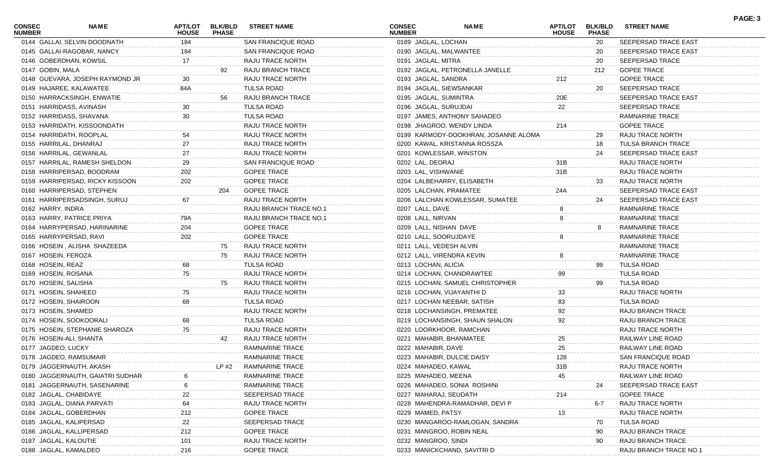| <b>CONSEC</b><br><b>NUMBER</b> | <b>NAME</b>                      | APT/LOT<br><b>HOUSE</b> | <b>BLK/BLD</b><br><b>PHASE</b> | <b>STREET NAME</b>            | <b>CONSEC</b><br><b>NUMBER</b> | <b>NAME</b>                          | <b>APT/LOT</b><br><b>HOUSE</b> | <b>BLK/BLD</b><br><b>PHASE</b> | <b>STREET NAME</b>        | PAGE: 3 |
|--------------------------------|----------------------------------|-------------------------|--------------------------------|-------------------------------|--------------------------------|--------------------------------------|--------------------------------|--------------------------------|---------------------------|---------|
|                                | 0144 GALLAI, SELVIN DOODNATH     | 184                     |                                | SAN FRANCIQUE ROAD            | 0189 JAGLAL, LOCHAN            |                                      |                                | 20                             | SEEPERSAD TRACE EAST      |         |
|                                | 0145 GALLAI-RAGOBAR, NANCY       | 184                     |                                | SAN FRANCIQUE ROAD            |                                | 0190 JAGLAL, MALWANTEE               |                                | -20                            | SEEPERSAD TRACE EAST      |         |
|                                | 0146 GOBERDHAN, KOWSIL           | 17                      |                                | RAJU TRACE NORTH              | 0191 JAGLAL, MITRA             |                                      |                                | 20                             | SEEPERSAD TRACE           |         |
| 0147 GOBIN, MALA               |                                  |                         |                                | RAJU BRANCH TRACE             |                                | 0192 JAGLAL, PETRONELLA JANELLE      |                                | 212                            | <b>GOPEE TRACE</b>        |         |
|                                | 0148 GUEVARA, JOSEPH RAYMOND JR  |                         |                                | RAJU TRACE NORTH              | 0193 JAGLAL, SANDRA            |                                      | 212                            |                                | <b>GOPEE TRACE</b>        |         |
|                                | 0149 HAJAREE, KALAWATEE          | 84A                     |                                | <b>TULSA ROAD</b>             |                                | 0194 JAGLAL, SIEWSANKAR              |                                | 20                             | SEEPERSAD TRACE           |         |
|                                | 0150 HARRACKSINGH, ENWATIE       |                         | 56                             | RAJU BRANCH TRACE             |                                | 0195 JAGLAL, SUMINTRA                | 20E                            |                                | SEEPERSAD TRACE EAST      |         |
|                                | 0151 HARRIDASS, AVINASH          | 30                      |                                | <b>TULSA ROAD</b>             | 0196 JAGLAL, SURUJDAI          |                                      | 22                             |                                | SEEPERSAD TRACE           |         |
|                                | 0152 HARRIDASS, SHAVANA          | 30                      |                                | <b>TULSA ROAD</b>             |                                | 0197 JAMES, ANTHONY SAHADEO          |                                |                                | RAMNARINE TRACE           |         |
|                                | 0153 HARRIDATH, KISSOONDATH      |                         |                                | RAJU TRACE NORTH              |                                | 0198 JHAGROO, WENDY LINDA            | 214                            |                                | <b>GOPEE TRACE</b>        |         |
|                                | 0154 HARRIDATH, ROOPLAL          |                         |                                | RAJU TRACE NORTH              |                                | 0199 KARMODY-DOOKHRAN, JOSANNE ALOMA |                                | 29                             | RAJU TRACE NORTH          |         |
|                                | 0155 HARRILAL, DHANRAJ           |                         |                                | RAJU TRACE NORTH              |                                | 0200 KAWAL, KRISTANNA ROSSZA         |                                | 18                             | <b>TULSA BRANCH TRACE</b> |         |
|                                | 0156 HARRILAL, GEWANLAL          |                         |                                | RAJU TRACE NORTH              |                                | 0201 KOWLESSAR, WINSTON              |                                | 24                             | SEEPERSAD TRACE EAST      |         |
|                                | 0157 HARRILAL, RAMESH SHELDON    | 29                      |                                | SAN FRANCIQUE ROAD            | 0202 LAL, DEORAJ               |                                      | 31B                            |                                | RAJU TRACE NORTH          |         |
|                                | 0158 HARRIPERSAD, BOODRAM        | 202                     |                                | <b>GOPEE TRACE</b>            | 0203 LAL, VISHWANIE            |                                      | 31B                            |                                | RAJU TRACE NORTH          |         |
|                                | 0159 HARRIPERSAD, RICKY KISSOON  | 202                     |                                | <b>GOPEE TRACE</b>            |                                | 0204 LALBEHARRY, ELISABETH           |                                | 33                             | RAJU TRACE NORTH          |         |
|                                | 0160 HARRIPERSAD, STEPHEN        |                         | 204                            | <b>GOPEE TRACE</b>            |                                | 0205 LALCHAN, PRAMATEE               | 24A                            |                                | SEEPERSAD TRACE EAST      |         |
|                                | 0161 HARRIPERSADSINGH, SURUJ     | 67                      |                                | RAJU TRACE NORTH              |                                | 0206 LALCHAN KOWLESSAR, SUMATEE      |                                | 24                             | SEEPERSAD TRACE EAST      |         |
| 0162 HARRY, INDRA              |                                  |                         |                                | <b>RAJU BRANCH TRACE NO.1</b> | 0207 LALL, DAVE                |                                      |                                |                                | RAMNARINE TRACE           |         |
|                                | 0163 HARRY, PATRICE PRIYA        | 79A                     |                                | RAJU BRANCH TRACE NO.1        | 0208 LALL, NIRVAN              |                                      | 8                              |                                | RAMNARINE TRACE           |         |
|                                | 0164 HARRYPERSAD, HARINARINE     | 204                     |                                | <b>GOPEE TRACE</b>            |                                | 0209 LALL, NISHAN DAVE               |                                |                                | RAMNARINE TRACE           |         |
|                                | 0165 HARRYPERSAD, RAVI           | 202                     |                                | <b>GOPEE TRACE</b>            |                                | 0210 LALL, SOORUJDAYE                |                                |                                | RAMNARINE TRACE           |         |
|                                | 0166 HOSEIN, ALISHA SHAZEEDA     |                         | 75                             | RAJU TRACE NORTH              |                                | 0211 LALL, VEDESH ALVIN              |                                |                                | RAMNARINE TRACE           |         |
| 0167 HOSEIN, FEROZA            |                                  |                         | 75                             | RAJU TRACE NORTH              |                                | 0212 LALL, VIRENDRA KEVIN            |                                |                                |                           |         |
|                                |                                  |                         |                                |                               |                                |                                      |                                |                                | RAMNARINE TRACE           |         |
| 0168 HOSEIN, REAZ              |                                  | 68                      |                                | <b>TULSA ROAD</b>             | 0213 LOCHAN, ALICIA            |                                      |                                | 99                             | TULSA ROAD                |         |
| 0169 HOSEIN, ROSANA            |                                  | 75                      |                                | RAJU TRACE NORTH              |                                | 0214 LOCHAN, CHANDRAWTEE             | 99                             |                                | <b>TULSA ROAD</b>         |         |
| 0170 HOSEIN, SALISHA           |                                  |                         | 75                             | RAJU TRACE NORTH              |                                | 0215 LOCHAN, SAMUEL CHRISTOPHER      |                                | 99                             | <b>TULSA ROAD</b>         |         |
| 0171 HOSEIN, SHAHEED           |                                  | 75                      |                                | RAJU TRACE NORTH              |                                | 0216 LOCHAN, VIJAYANTHI D            | 33                             |                                | RAJU TRACE NORTH          |         |
| 0172 HOSEIN, SHAIROON          |                                  | 68                      |                                | <b>TULSA ROAD</b>             |                                | 0217 LOCHAN NEEBAR, SATISH           | 83                             |                                | TULSA ROAD                |         |
| 0173 HOSEIN, SHAMED            |                                  |                         |                                | RAJU TRACE NORTH              |                                | 0218 LOCHANSINGH, PREMATEE           | 92                             |                                | RAJU BRANCH TRACE         |         |
|                                | 0174 HOSEIN, SOOKOORALI          | 68                      |                                | <b>TULSA ROAD</b>             |                                | 0219 LOCHANSINGH, SHAUN SHALON       | 92                             |                                | RAJU BRANCH TRACE         |         |
|                                | 0175 HOSEIN, STEPHANIE SHAROZA   | 75                      |                                | RAJU TRACE NORTH              |                                | 0220 LOORKHOOR, RAMCHAN              |                                |                                | RAJU TRACE NORTH          |         |
|                                | 0176 HOSEIN-ALI, SHANTA          |                         | 42                             | RAJU TRACE NORTH              |                                | 0221 MAHABIR, BHANMATEE              | 25                             |                                | RAILWAY LINE ROAD         |         |
| 0177 JAGDEO, LUCKY             |                                  |                         |                                | RAMNARINE TRACE               | 0222 MAHABIR, DAVE             |                                      | 25                             |                                | RAILWAY LINE ROAD         |         |
|                                | 0178 JAGDEO, RAMSUMAIR           |                         |                                | RAMNARINE TRACE               |                                | 0223 MAHABIR, DULCIE DAISY           | 128                            |                                | <b>SAN FRANCIQUE ROAD</b> |         |
|                                | 0179 JAGGERNAUTH, AKASH          |                         | $LP$ #2                        | RAMNARINE TRACE               | 0224 MAHADEO, KAWAL            |                                      | 31B                            |                                | RAJU TRACE NORTH          |         |
|                                | 0180 JAGGERNAUTH, GAIATRI SUDHAR |                         |                                | RAMNARINE TRACE               | 0225 MAHADEO, MEENA            |                                      | 45                             |                                | RAILWAY LINE ROAD         |         |
|                                | 0181 JAGGERNAUTH, SASENARINE     |                         |                                | <b>RAMNARINE TRACE</b>        |                                | 0226 MAHADEO, SONIA ROSHINI          |                                | 24                             | SEEPERSAD TRACE EAST      |         |
|                                | 0182 JAGLAL, CHABIDAYE           |                         |                                | SEEPERSAD TRACE               |                                | 0227 MAHARAJ, SEUDATH                | 214                            |                                | <b>GOPEE TRACE</b>        |         |
|                                | 0183 JAGLAL, DIANA PARVATI       |                         |                                | RAJU TRACE NORTH              |                                | 0228 MAHENDRA-RAMADHAR, DEVI P       |                                | $6-7$                          | RAJU TRACE NORTH          |         |
|                                | 0184 JAGLAL, GOBERDHAN           | 212                     |                                | <b>GOPEE TRACE</b>            | 0229 MAMED, PATSY              |                                      | 13                             |                                | RAJU TRACE NORTH          |         |
|                                | 0185 JAGLAL, KALIPERSAD          | 22                      |                                | SEEPERSAD TRACE               |                                | 0230 MANGAROO-RAMLOGAN, SANDRA       |                                | 70                             | <b>TULSA ROAD</b>         |         |
|                                | 0186 JAGLAL, KALLIPERSAD         | 212                     |                                | <b>GOPEE TRACE</b>            |                                | 0231 MANGROO, ROBIN NEAL             |                                | 90                             | RAJU BRANCH TRACE         |         |
| 0187 JAGLAL, KALOUTIE          |                                  | 101                     |                                | RAJU TRACE NORTH              | 0232 MANGROO, SINDI            |                                      |                                | 90                             | RAJU BRANCH TRACE         |         |
| 0188 JAGLAL, KAMALDEO          |                                  | 216                     |                                | <b>GOPEE TRACE</b>            |                                | 0233 MANICKCHAND, SAVITRI D          |                                |                                | RAJU BRANCH TRACE NO.1    |         |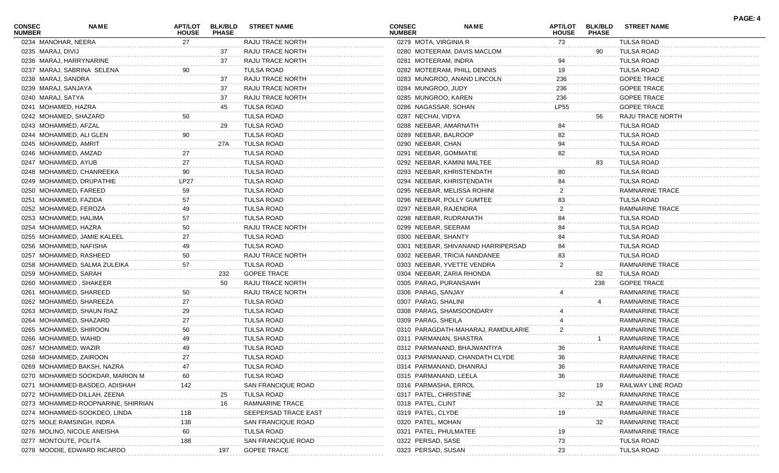| <b>CONSEC</b><br><b>NUMBER</b> | <b>NAME</b>                        | APT/LOT<br><b>HOUSE</b> | <b>BLK/BLD</b><br><b>PHASE</b> | <b>STREET NAME</b>        | <b>CONSEC</b><br><b>NUMBER</b> | <b>NAME</b>                        | <b>APT/LOT</b><br><b>HOUSE</b> | <b>BLK/BLD</b><br><b>PHASE</b> | <b>STREET NAME</b>                        | PAGE: 4 |
|--------------------------------|------------------------------------|-------------------------|--------------------------------|---------------------------|--------------------------------|------------------------------------|--------------------------------|--------------------------------|-------------------------------------------|---------|
| 0234 MANOHAR, NEERA            |                                    | 27                      |                                | RAJU TRACE NORTH          | 0279 MOTA, VIRGINIA R          |                                    | 73                             |                                | <b>TULSA ROAD</b>                         |         |
| 0235 MARAJ, DIVIJ              |                                    |                         | 37                             | RAJU TRACE NORTH          |                                | 0280 MOTEERAM, DAVIS MACLOM        |                                | 90                             | TULSA ROAD                                |         |
|                                | 0236 MARAJ, HARRYNARINE            |                         | 37                             | RAJU TRACE NORTH          | 0281 MOTEERAM, INDRA           |                                    | 94                             |                                | TULSA ROAD                                |         |
|                                | 0237 MARAJ, SABRINA SELENA         | 90                      |                                | <b>TULSA ROAD</b>         |                                | 0282 MOTEERAM, PHILL DENNIS        | 19                             |                                | <b>TULSA ROAD</b>                         |         |
| 0238 MARAJ, SANDRA             |                                    |                         | 37                             | RAJU TRACE NORTH          |                                | 0283 MUNGROO, ANAND LINCOLN        | 236                            |                                | <b>GOPEE TRACE</b>                        |         |
| 0239 MARAJ, SANJAYA            |                                    |                         | 37                             | RAJU TRACE NORTH          | 0284 MUNGROO, JUDY             |                                    | 236                            |                                | <b>GOPEE TRACE</b>                        |         |
| 0240 MARAJ, SATYA              |                                    |                         | 37                             | RAJU TRACE NORTH          | 0285 MUNGROO, KAREN            |                                    | 236                            |                                | <b>GOPEE TRACE</b>                        |         |
| 0241 MOHAMED, HAZRA            |                                    |                         | 45                             | <b>TULSA ROAD</b>         | 0286 NAGASSAR, SOHAN           |                                    | <b>LP55</b>                    |                                | <b>GOPEE TRACE</b>                        |         |
| 0242 MOHAMED, SHAZARD          |                                    | 50                      |                                | <b>TULSA ROAD</b>         | 0287 NECHAI, VIDYA             |                                    |                                | 56                             | RAJU TRACE NORTH                          |         |
| 0243 MOHAMMED, AFZAL           |                                    |                         | 29                             | TULSA ROAD                | 0288 NEEBAR, AMARNATH          |                                    | 84                             |                                | <b>TULSA ROAD</b>                         |         |
|                                | 0244 MOHAMMED, ALI GLEN            | 90                      |                                | TULSA ROAD                | 0289 NEEBAR, BALROOP           |                                    | 82                             |                                | TULSA ROAD                                |         |
| 0245 MOHAMMED, AMRIT           |                                    |                         | 27A                            | TULSA ROAD                | 0290 NEEBAR, CHAN              |                                    | 94                             |                                | <b>TULSA ROAD</b>                         |         |
| 0246 MOHAMMED, AMZAD           |                                    |                         |                                | <b>TULSA ROAD</b>         | 0291 NEEBAR, GOMMATIE          |                                    | 82                             |                                | <b>TULSA ROAD</b>                         |         |
| 0247 MOHAMMED, AYUB            |                                    |                         |                                | <b>TULSA ROAD</b>         |                                | 0292 NEEBAR, KAMINI MALTEE         |                                | 83                             | TULSA ROAD                                |         |
|                                | 0248 MOHAMMED, CHANREEKA           | 90                      |                                | <b>TULSA ROAD</b>         |                                | 0293 NEEBAR, KHRISTENDATH          | 80                             |                                | TULSA ROAD                                |         |
|                                | 0249 MOHAMMED, DRUPATHIE           | LP27                    |                                | <b>TULSA ROAD</b>         |                                | 0294 NEEBAR, KHRISTENDATH          | 84                             |                                | TULSA ROAD                                |         |
|                                | 0250 MOHAMMED, FAREED              | 59                      |                                | <b>TULSA ROAD</b>         |                                | 0295 NEEBAR, MELISSA ROHINI        |                                |                                | <b>RAMNARINE TRACE</b>                    |         |
| 0251 MOHAMMED, FAZIDA          |                                    |                         |                                | <b>TULSA ROAD</b>         |                                | 0296 NEEBAR, POLLY GUMTEE          | 83                             |                                | <b>TULSA ROAD</b>                         |         |
|                                | 0252 MOHAMMED, FEROZA              |                         |                                | <b>TULSA ROAD</b>         | 0297 NEEBAR, RAJENDRA          |                                    |                                |                                | RAMNARINE TRACE                           |         |
| 0253 MOHAMMED, HALIMA          |                                    |                         |                                | <b>TULSA ROAD</b>         | 0298 NEEBAR, RUDRANATH         |                                    | 84                             |                                | <b>TULSA ROAD</b>                         |         |
| 0254 MOHAMMED, HAZRA           |                                    |                         |                                | RAJU TRACE NORTH          | 0299 NEEBAR, SEERAM            |                                    | 84                             |                                | <b>TULSA ROAD</b>                         |         |
|                                | 0255 MOHAMMED, JAMIE KALEEL        |                         |                                | <b>TULSA ROAD</b>         | 0300 NEEBAR, SHANTY            |                                    | 84                             |                                | <b>TULSA ROAD</b>                         |         |
|                                | 0256 MOHAMMED, NAFISHA             |                         |                                | <b>TULSA ROAD</b>         |                                | 0301 NEEBAR, SHIVANAND HARRIPERSAD | 84                             |                                | TULSA ROAD                                |         |
|                                | 0257 MOHAMMED, RASHEED             | 50                      |                                | RAJU TRACE NORTH          |                                | 0302 NEEBAR, TRICIA NANDANEE       | 83                             |                                | TULSA ROAD                                |         |
|                                | 0258 MOHAMMED, SALMA ZULEIKA       | 57                      |                                | <b>TULSA ROAD</b>         |                                | 0303 NEEBAR, YVETTE VENDRA         | 2                              |                                | RAMNARINE TRACE                           |         |
| 0259 MOHAMMED, SARAH           |                                    |                         | 232                            | <b>GOPEE TRACE</b>        |                                | 0304 NEEBAR, ZARIA RHONDA          |                                | 82                             | <b>TULSA ROAD</b>                         |         |
|                                | 0260 MOHAMMED, SHAKEER             |                         | 50                             | RAJU TRACE NORTH          | 0305 PARAG, PURANSAWH          |                                    |                                | 238                            | <b>GOPEE TRACE</b>                        |         |
|                                | 0261 MOHAMMED, SHAREED             | 50                      |                                | RAJU TRACE NORTH          | 0306 PARAG, SANJAY             |                                    |                                |                                | RAMNARINE TRACE                           |         |
|                                | 0262 MOHAMMED, SHAREEZA            | 27                      |                                | <b>TULSA ROAD</b>         | 0307 PARAG, SHALINI            |                                    |                                |                                | RAMNARINE TRACE                           |         |
|                                | 0263 MOHAMMED, SHAUN RIAZ          | 29                      |                                | <b>TULSA ROAD</b>         |                                | 0308 PARAG, SHAMSOONDARY           |                                |                                | RAMNARINE TRACE                           |         |
|                                | 0264 MOHAMMED, SHAZARD             |                         |                                | <b>TULSA ROAD</b>         | 0309 PARAG, SHEILA             |                                    |                                |                                | RAMNARINE TRACE                           |         |
|                                | 0265 MOHAMMED, SHIROON             | 50                      |                                | <b>TULSA ROAD</b>         |                                | 0310 PARAGDATH-MAHARAJ, RAMDULARIE |                                |                                | <b>RAMNARINE TRACE</b>                    |         |
| 0266 MOHAMMED, WAHID           |                                    |                         |                                | <b>TULSA ROAD</b>         | 0311 PARMANAN, SHASTRA         |                                    |                                |                                | RAMNARINE TRACE                           |         |
| 0267 MOHAMMED, WAZIR           |                                    |                         |                                | <b>TULSA ROAD</b>         |                                | 0312 PARMANAND, BHAJWANTIYA        | 36                             |                                | <b>RAMNARINE TRACE</b>                    |         |
|                                | 0268 MOHAMMED, ZAIROON             | 27                      |                                | <b>TULSA ROAD</b>         |                                | 0313 PARMANAND, CHANDATH CLYDE     | 36                             |                                | <b>RAMNARINE TRACE</b>                    |         |
|                                | 0269 MOHAMMED BAKSH, NAZRA         | 47                      |                                | <b>TULSA ROAD</b>         | 0314 PARMANAND, DHANRAJ        |                                    | 36                             |                                | <b>RAMNARINE TRACE</b>                    |         |
|                                | 0270 MOHAMMED SOOKDAR, MARION M    |                         |                                | <b>TULSA ROAD</b>         | 0315 PARMANAND, LEELA          |                                    | 36                             |                                | <b>RAMNARINE TRACE</b>                    |         |
|                                | 0271 MOHAMMED-BASDEO, ADISHAH      | 142                     |                                | SAN FRANCIQUE ROAD        | 0316 PARMASHA, ERROL           |                                    |                                | 19                             | RAILWAY LINE ROAD                         |         |
|                                | 0272 MOHAMMED-DILLAH, ZEENA        |                         | 25                             | <b>TULSA ROAD</b>         | 0317 PATEL, CHRISTINE          |                                    | 32                             |                                | RAMNARINE TRACE                           |         |
|                                | 0273 MOHAMMED-ROOPNARINE, SHIRRIAN |                         | 16                             | RAMNARINE TRACE           | 0318 PATEL, CLINT              |                                    |                                |                                | <b>RAMNARINE TRACE</b>                    |         |
|                                | 0274 MOHAMMED-SOOKDEO, LINDA       |                         |                                | SEEPERSAD TRACE EAST      | 0319 PATEL, CLYDE              |                                    |                                | 32                             | <b>RAMNARINE TRACE</b>                    |         |
|                                | 0275 MOLE RAMSINGH, INDRA          | 11B                     |                                | <b>SAN FRANCIQUE ROAD</b> |                                |                                    | 19                             |                                |                                           |         |
|                                |                                    | 138                     |                                | <b>TULSA ROAD</b>         | 0320 PATEL, MOHAN              |                                    |                                | 32                             | RAMNARINE TRACE<br><b>RAMNARINE TRACE</b> |         |
| 0277 MONTOUTE, POLITA          | 0276 MOLINO, NICOLE ANEISHA        | 60                      |                                | SAN FRANCIQUE ROAD        | 0321 PATEL, PHULMATEE          |                                    | 19                             |                                | <b>TULSA ROAD</b>                         |         |
|                                |                                    | 188                     |                                |                           | 0322 PERSAD, SASE              |                                    | 73                             |                                |                                           |         |
|                                | 0278 MOODIE, EDWARD RICARDO        |                         | 197                            | <b>GOPEE TRACE</b>        | 0323 PERSAD, SUSAN             |                                    | 23                             |                                | <b>TULSA ROAD</b>                         |         |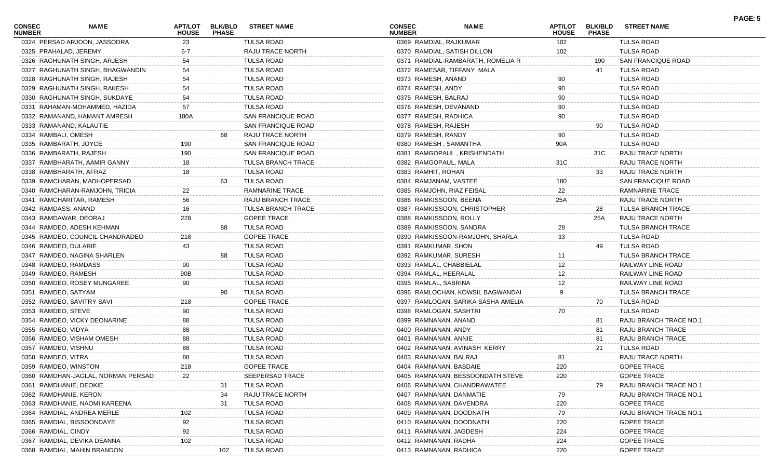| <b>CONSEC</b><br><b>NUMBER</b> | <b>NAME</b>                        | APT/LOT<br><b>HOUSE</b> | <b>BLK/BLD</b><br><b>PHASE</b> | <b>STREET NAME</b>        | <b>CONSEC</b><br><b>NUMBER</b> | <b>NAME</b>                        | <b>APT/LOT</b><br><b>HOUSE</b> | <b>BLK/BLD</b><br><b>PHASE</b> | <b>STREET NAME</b>        | PAGE: 5 |
|--------------------------------|------------------------------------|-------------------------|--------------------------------|---------------------------|--------------------------------|------------------------------------|--------------------------------|--------------------------------|---------------------------|---------|
|                                | 0324 PERSAD ARJOON, JASSODRA       | 23                      |                                | TULSA ROAD                | 0369 RAMDIAL, RAJKUMAR         |                                    | 102                            |                                | <b>TULSA ROAD</b>         |         |
| 0325 PRAHALAD, JEREMY          |                                    | $6-7$                   |                                | RAJU TRACE NORTH          |                                | 0370 RAMDIAL, SATISH DILLON        | 102                            |                                | TULSA ROAD                |         |
|                                | 0326 RAGHUNATH SINGH, ARJESH       | 54                      |                                | <b>TULSA ROAD</b>         |                                | 0371 RAMDIAL-RAMBARATH, ROMELIA R  |                                | 190                            | SAN FRANCIQUE ROAD        |         |
|                                | 0327 RAGHUNATH SINGH, BHAGWANDIN   | 54                      |                                | <b>TULSA ROAD</b>         |                                | 0372 RAMESAR, TIFFANY MALA         |                                | 41                             | <b>TULSA ROAD</b>         |         |
|                                | 0328 RAGHUNATH SINGH, RAJESH       | 54                      |                                | <b>TULSA ROAD</b>         | 0373 RAMESH, ANAND             |                                    | 90                             |                                | <b>TULSA ROAD</b>         |         |
|                                | 0329 RAGHUNATH SINGH, RAKESH       | 54                      |                                | TULSA ROAD                | 0374 RAMESH, ANDY              |                                    | 90                             |                                | TULSA ROAD                |         |
|                                | 0330 RAGHUNATH SINGH, SUKDAYE      | 54                      |                                | TULSA ROAD                | 0375 RAMESH, BALRAJ            |                                    | 90                             |                                | TULSA ROAD                |         |
|                                | 0331 RAHAMAN-MOHAMMED, HAZIDA      | 57                      |                                | TULSA ROAD                | 0376 RAMESH, DEVANAND          |                                    | 90                             |                                | TULSA ROAD                |         |
|                                | 0332 RAMANAND, HAMANT AMRESH       | 180A                    |                                | SAN FRANCIQUE ROAD        | 0377 RAMESH, RADHICA           |                                    | 90                             |                                | <b>TULSA ROAD</b>         |         |
|                                | 0333 RAMANAND, KALAUTIE            |                         |                                | SAN FRANCIQUE ROAD        | 0378 RAMESH, RAJESH            |                                    |                                | 90                             | <b>TULSA ROAD</b>         |         |
| 0334 RAMBALI, OMESH            |                                    |                         |                                | RAJU TRACE NORTH          | 0379 RAMESH, RANDY             |                                    | 90                             |                                | TULSA ROAD                |         |
| 0335 RAMBARATH, JOYCE          |                                    | 190                     |                                | SAN FRANCIQUE ROAD        | 0380 RAMESH, SAMANTHA          |                                    | 90A                            |                                | TULSA ROAD                |         |
|                                | 0336 RAMBARATH, RAJESH             | 190                     |                                | SAN FRANCIQUE ROAD        |                                | 0381 RAMGOPAUL, KRISHENDATH        |                                | 31C                            | RAJU TRACE NORTH          |         |
|                                | 0337 RAMBHARATH, AAMIR GANNY       | 18                      |                                | <b>TULSA BRANCH TRACE</b> | 0382 RAMGOPAUL, MALA           |                                    | 31C                            |                                | RAJU TRACE NORTH          |         |
|                                | 0338 RAMBHARATH, AFRAZ             | 18                      |                                | TULSA ROAD                | 0383 RAMHIT, ROHAN             |                                    |                                | 33                             | RAJU TRACE NORTH          |         |
|                                | 0339 RAMCHARAN, MADHOPERSAD        |                         |                                | TULSA ROAD                | 0384 RAMJANAM, VASTEE          |                                    | 180                            |                                | SAN FRANCIQUE ROAD        |         |
|                                | 0340 RAMCHARAN-RAMJOHN, TRICIA     | 22                      |                                | RAMNARINE TRACE           |                                | 0385 RAMJOHN, RIAZ FEISAL          | 22                             |                                | RAMNARINE TRACE           |         |
|                                | 0341 RAMCHARITAR, RAMESH           | 56                      |                                | RAJU BRANCH TRACE         | 0386 RAMKISSOON, BEENA         |                                    | 25A                            |                                | RAJU TRACE NORTH          |         |
| 0342 RAMDASS, ANAND            |                                    | 16                      |                                | <b>TULSA BRANCH TRACE</b> |                                | 0387 RAMKISSOON, CHRISTOPHER       |                                | 28                             | <b>TULSA BRANCH TRACE</b> |         |
|                                | 0343 RAMDAWAR, DEORAJ              | 228                     |                                | <b>GOPEE TRACE</b>        | 0388 RAMKISSOON, ROLLY         |                                    |                                | 25A                            | RAJU TRACE NORTH          |         |
|                                | 0344 RAMDEO, ADESH KEHMAN          |                         |                                | TULSA ROAD                |                                | 0389 RAMKISSOON, SANDRA            | 28                             |                                | <b>TULSA BRANCH TRACE</b> |         |
|                                | 0345 RAMDEO, COUNCIL CHANDRADEO    | 218                     |                                | <b>GOPEE TRACE</b>        |                                | 0390 RAMKISSOON-RAMJOHN, SHARLA    | 33                             |                                | TULSA ROAD                |         |
| 0346 RAMDEO, DULARIE           |                                    | 43                      |                                | TULSA ROAD                | 0391 RAMKUMAR, SHON            |                                    |                                | 49                             | TULSA ROAD                |         |
|                                | 0347 RAMDEO, NAGINA SHARLEN        |                         |                                | TULSA ROAD                | 0392 RAMKUMAR, SURESH          |                                    | 11                             |                                | <b>TULSA BRANCH TRACE</b> |         |
| 0348 RAMDEO, RAMDASS           |                                    | 90                      |                                | <b>TULSA ROAD</b>         | 0393 RAMLAL, CHABBIELAL        |                                    | 12                             |                                | RAILWAY LINE ROAD         |         |
| 0349 RAMDEO, RAMESH            |                                    | 90B                     |                                | TULSA ROAD                | 0394 RAMLAL, HEERALAL          |                                    | 12                             |                                | RAILWAY LINE ROAD         |         |
|                                |                                    | 90                      |                                |                           |                                |                                    |                                |                                |                           |         |
|                                | 0350 RAMDEO, ROSEY MUNGAREE        |                         |                                | TULSA ROAD                | 0395 RAMLAL, SABRINA           |                                    | 12<br>9                        |                                | RAILWAY LINE ROAD         |         |
| 0351 RAMDEO, SATYAM            |                                    |                         |                                | TULSA ROAD                |                                | 0396 RAMLOCHAN, KOWSIL BAGWANDAI   |                                |                                | <b>TULSA BRANCH TRACE</b> |         |
|                                | 0352 RAMDEO, SAVITRY SAVI          | 218                     |                                | <b>GOPEE TRACE</b>        |                                | 0397 RAMLOGAN, SARIKA SASHA AMELIA |                                | 70                             | <b>TULSA ROAD</b>         |         |
| 0353 RAMDEO, STEVE             |                                    | 90                      |                                | <b>TULSA ROAD</b>         | 0398 RAMLOGAN, SASHTRI         |                                    | 70                             |                                | <b>TULSA ROAD</b>         |         |
|                                | 0354 RAMDEO, VICKY DEONARINE       | 88                      |                                | TULSA ROAD                | 0399 RAMNANAN, ANAND           |                                    |                                | 81                             | RAJU BRANCH TRACE NO.1    |         |
| 0355 RAMDEO, VIDYA             |                                    | 88                      |                                | TULSA ROAD                | 0400 RAMNANAN, ANDY            |                                    |                                | 81                             | RAJU BRANCH TRACE         |         |
|                                | 0356 RAMDEO, VISHAM OMESH          | 88                      |                                | TULSA ROAD                | 0401 RAMNANAN, ANNIE           |                                    |                                | 81                             | RAJU BRANCH TRACE         |         |
| 0357 RAMDEO, VISHNU            |                                    | 88                      |                                | <b>TULSA ROAD</b>         |                                | 0402 RAMNANAN, AVINASH KERRY       |                                | 21                             | <b>TULSA ROAD</b>         |         |
| 0358 RAMDEO, VITRA             |                                    | 88                      |                                | TULSA ROAD                | 0403 RAMNANAN, BALRAJ          |                                    | 81                             |                                | RAJU TRACE NORTH          |         |
| 0359 RAMDEO, WINSTON           |                                    | 218                     |                                | <b>GOPEE TRACE</b>        | 0404 RAMNANAN, BASDAIE         |                                    | 220                            |                                | <b>GOPEE TRACE</b>        |         |
|                                | 0360 RAMDHAN-JAGLAL, NORMAN PERSAD | 22                      |                                | SEEPERSAD TRACE           |                                | 0405 RAMNANAN, BESSOONDATH STEVE   | 220                            |                                | <b>GOPEE TRACE</b>        |         |
|                                | 0361 RAMDHANIE, DEOKIE             |                         | -31                            | TULSA ROAD                |                                | 0406 RAMNANAN, CHANDRAWATEE        |                                | 79                             | RAJU BRANCH TRACE NO.     |         |
| 0362 RAMDHANIE, KERON          |                                    |                         | 34                             | <b>RAJU TRACE NORTI</b>   |                                | 0407 RAMNANAN, DANMATIE            | 79                             |                                | RAJU BRANCH TRACE NO.1    |         |
|                                | 0363 RAMDHANIE, NAOMI KAREENA      |                         | 31                             | TULSA ROAD                |                                | 0408 RAMNANAN, DAVENDRA            | 220                            |                                | <b>GOPEE TRACE</b>        |         |
|                                | 0364 RAMDIAL, ANDREA MERLE         |                         |                                | TULSA ROAD                |                                | 0409 RAMNANAN, DOODNATH            | 79                             |                                | RAJU BRANCH TRACE NO.     |         |
|                                | 0365 RAMDIAL, BISSOONDAYE          | 92                      |                                | TULSA ROAD                |                                | 0410 RAMNANAN, DOODNATH            | 220                            |                                | <b>GOPEE TRACE</b>        |         |
| 0366 RAMDIAL, CINDY            |                                    | 92                      |                                | <b>TULSA ROAD</b>         | 0411 RAMNANAN, JAGDESH         |                                    | 224                            |                                | <b>GOPEE TRACE</b>        |         |
|                                | 0367 RAMDIAL, DEVIKA DEANNA        | 102                     |                                | <b>TULSA ROAD</b>         | 0412 RAMNANAN, RADHA           |                                    | 224                            |                                | <b>GOPEE TRACE</b>        |         |
|                                | 0368 RAMDIAL, MAHIN BRANDON        |                         | 102                            | <b>TULSA ROAD</b>         | 0413 RAMNANAN, RADHICA         |                                    | 220                            |                                | <b>GOPEE TRACE</b>        |         |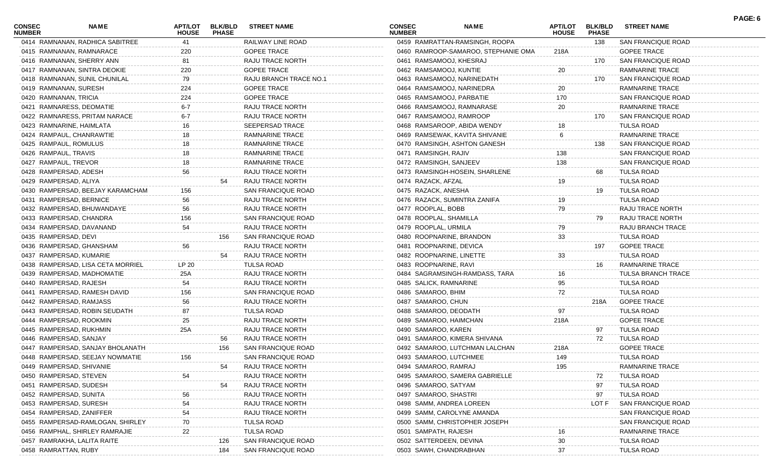| <b>CONSEC</b><br><b>NUMBER</b> | NAME                              | APT/LOT<br><b>HOUSE</b> | <b>BLK/BLD</b><br><b>PHASE</b> | <b>STREET NAME</b>     | <b>CONSEC</b><br><b>NUMBER</b> | NAME                                | <b>APT/LOT</b><br><b>HOUSE</b> | <b>BLK/BLD</b><br><b>PHASE</b> | <b>STREET NAME</b>        | PAGE: 6 |
|--------------------------------|-----------------------------------|-------------------------|--------------------------------|------------------------|--------------------------------|-------------------------------------|--------------------------------|--------------------------------|---------------------------|---------|
|                                | 0414 RAMNANAN, RADHICA SABITREE   | 41                      |                                | RAILWAY LINE ROAD      |                                | 0459 RAMRATTAN-RAMSINGH, ROOPA      |                                | 138                            | <b>SAN FRANCIQUE ROAD</b> |         |
|                                | 0415 RAMNANAN, RAMNARACE          | 220                     |                                | <b>GOPEE TRACE</b>     |                                | 0460 RAMROOP-SAMAROO, STEPHANIE OMA | 218A                           |                                | <b>GOPEE TRACE</b>        |         |
|                                | 0416 RAMNANAN, SHERRY ANN         | 81                      |                                | RAJU TRACE NORTH       |                                | 0461 RAMSAMOOJ, KHESRAJ             |                                | 170                            | SAN FRANCIQUE ROAD        |         |
|                                | 0417 RAMNANAN, SINTRA DEOKIE      | 220                     |                                | <b>GOPEE TRACE</b>     |                                | 0462 RAMSAMOOJ, KUNTIE              | 20                             |                                | RAMNARINE TRACE           |         |
|                                | 0418 RAMNANAN, SUNIL CHUNILAL     | 79                      |                                | RAJU BRANCH TRACE NO.1 |                                | 0463 RAMSAMOOJ, NARINEDATH          |                                | 170                            | SAN FRANCIQUE ROAD        |         |
| 0419 RAMNANAN, SURESH          |                                   | 224                     |                                | <b>GOPEE TRACE</b>     |                                | 0464 RAMSAMOOJ, NARINEDRA           | 20                             |                                | <b>RAMNARINE TRACE</b>    |         |
| 0420 RAMNANAN, TRICIA          |                                   | 224                     |                                | <b>GOPEE TRACE</b>     |                                | 0465 RAMSAMOOJ, PARBATIE            | 170                            |                                | SAN FRANCIQUE ROAD        |         |
|                                | 0421 RAMNARESS, DEOMATIE          | $6 - 7$                 |                                | RAJU TRACE NORTH       |                                | 0466 RAMSAMOOJ, RAMNARASE           | 20                             |                                | <b>RAMNARINE TRACE</b>    |         |
|                                | 0422 RAMNARESS, PRITAM NARACE     | $6-7$                   |                                | RAJU TRACE NORTH       |                                | 0467 RAMSAMOOJ, RAMROOP             |                                | 170                            | <b>SAN FRANCIQUE ROAD</b> |         |
|                                | 0423 RAMNARINE, HAIMLATA          | 16                      |                                | SEEPERSAD TRACE        |                                | 0468 RAMSAROOP, ABIDA WENDY         |                                |                                | <b>TULSA ROAD</b>         |         |
|                                | 0424 RAMPAUL, CHANRAWTIE          | 18                      |                                | <b>RAMNARINE TRACE</b> |                                | 0469 RAMSEWAK, KAVITA SHIVANIE      | 6                              |                                | RAMNARINE TRACE           |         |
| 0425 RAMPAUL, ROMULUS          |                                   | 18                      |                                | <b>RAMNARINE TRACE</b> |                                | 0470 RAMSINGH, ASHTON GANESH        |                                | 138                            | SAN FRANCIQUE ROAD        |         |
| 0426 RAMPAUL, TRAVIS           |                                   |                         |                                | <b>RAMNARINE TRACE</b> | 0471 RAMSINGH, RAJIV           |                                     | 138                            |                                | SAN FRANCIQUE ROAD        |         |
| 0427 RAMPAUL, TREVOR           |                                   | 18                      |                                | <b>RAMNARINE TRACE</b> |                                | 0472 RAMSINGH, SANJEEV              | 138                            |                                | SAN FRANCIQUE ROAD        |         |
| 0428 RAMPERSAD, ADESH          |                                   | 56                      |                                | RAJU TRACE NORTH       |                                | 0473 RAMSINGH-HOSEIN, SHARLENE      |                                | 68                             | TULSA ROAD                |         |
| 0429 RAMPERSAD, ALIYA          |                                   |                         | 54                             | RAJU TRACE NORTH       | 0474 RAZACK, AFZAL             |                                     | 19                             |                                | <b>TULSA ROAD</b>         |         |
|                                | 0430 RAMPERSAD, BEEJAY KARAMCHAM  | 156                     |                                | SAN FRANCIQUE ROAD     | 0475 RAZACK, ANESHA            |                                     |                                | 19                             | <b>TULSA ROAD</b>         |         |
|                                | 0431 RAMPERSAD, BERNICE           | 56                      |                                | RAJU TRACE NORTH       |                                | 0476 RAZACK, SUMINTRA ZANIFA        | 19                             |                                | <b>TULSA ROAD</b>         |         |
|                                | 0432 RAMPERSAD, BHUWANDAYE        | 56                      |                                | RAJU TRACE NORTH       | 0477 ROOPLAL, BOBB             |                                     | 79                             |                                | RAJU TRACE NORTH          |         |
|                                | 0433 RAMPERSAD, CHANDRA           | 156                     |                                | SAN FRANCIQUE ROAD     |                                | 0478 ROOPLAL, SHAMILLA              |                                | 79                             | RAJU TRACE NORTH          |         |
|                                | 0434 RAMPERSAD, DAVANAND          | 54                      |                                | RAJU TRACE NORTH       | 0479 ROOPLAL, URMILA           |                                     | 79                             |                                | RAJU BRANCH TRACE         |         |
| 0435 RAMPERSAD, DEVI           |                                   |                         | 156                            | SAN FRANCIQUE ROAD     |                                | 0480 ROOPNARINE, BRANDON            | 33                             |                                | <b>TULSA ROAD</b>         |         |
|                                | 0436 RAMPERSAD, GHANSHAM          | 56                      |                                | RAJU TRACE NORTH       |                                | 0481 ROOPNARINE, DEVICA             |                                | 197                            | <b>GOPEE TRACE</b>        |         |
|                                | 0437 RAMPERSAD, KUMARIE           |                         | 54                             | RAJU TRACE NORTH       |                                | 0482 ROOPNARINE, LINETTE            | 33                             |                                | <b>TULSA ROAD</b>         |         |
|                                |                                   | LP 20                   |                                | <b>TULSA ROAD</b>      |                                | 0483 ROOPNARINE, RAVI               |                                |                                |                           |         |
|                                | 0438 RAMPERSAD, LISA CETA MORRIEL |                         |                                |                        |                                |                                     |                                | 16                             | RAMNARINE TRACE           |         |
|                                | 0439 RAMPERSAD, MADHOMATIE        | 25A                     |                                | RAJU TRACE NORTH       |                                | 0484 SAGRAMSINGH-RAMDASS, TARA      | 16                             |                                | <b>TULSA BRANCH TRACE</b> |         |
|                                | 0440 RAMPERSAD, RAJESH            | 54                      |                                | RAJU TRACE NORTH       |                                | 0485 SALICK, RAMNARINE              | 95                             |                                | <b>TULSA ROAD</b>         |         |
|                                | 0441 RAMPERSAD, RAMESH DAVID      | 156                     |                                | SAN FRANCIQUE ROAD     | 0486 SAMAROO, BHIM             |                                     | 72                             |                                | <b>TULSA ROAD</b>         |         |
|                                | 0442 RAMPERSAD, RAMJASS           | 56                      |                                | RAJU TRACE NORTH       | 0487 SAMAROO, CHUN             |                                     |                                | 218A                           | <b>GOPEE TRACE</b>        |         |
|                                | 0443 RAMPERSAD, ROBIN SEUDATH     | 87                      |                                | <b>TULSA ROAD</b>      |                                | 0488 SAMAROO, DEODATH               | 97                             |                                | <b>TULSA ROAD</b>         |         |
|                                | 0444 RAMPERSAD, ROOKMIN           | 25                      |                                | RAJU TRACE NORTH       |                                | 0489 SAMAROO, HAIMCHAN              | 218A                           |                                | <b>GOPEE TRACE</b>        |         |
|                                | 0445 RAMPERSAD, RUKHMIN           | 25A                     |                                | RAJU TRACE NORTH       | 0490 SAMAROO, KAREN            |                                     |                                | 97                             | TULSA ROAD                |         |
|                                | 0446 RAMPERSAD, SANJAY            |                         | 56                             | RAJU TRACE NORTH       |                                | 0491 SAMAROO, KIMERA SHIVANA        |                                | 72                             | TULSA ROAD                |         |
|                                | 0447 RAMPERSAD, SANJAY BHOLANATH  |                         | 156                            | SAN FRANCIQUE ROAD     |                                | 0492 SAMAROO, LUTCHMAN LALCHAN      | 218A                           |                                | <b>GOPEE TRACE</b>        |         |
|                                | 0448 RAMPERSAD, SEEJAY NOWMATIE   | 156                     |                                | SAN FRANCIQUE ROAD     |                                | 0493 SAMAROO, LUTCHMEE              | 149                            |                                | <b>TULSA ROAD</b>         |         |
|                                | 0449 RAMPERSAD, SHIVANIE          |                         | 54                             | RAJU TRACE NORTH       |                                | 0494 SAMAROO, RAMRAJ                | 195                            |                                | RAMNARINE TRACE           |         |
|                                | 0450 RAMPERSAD, STEVEN            | 54                      |                                | RAJU TRACE NORTH       |                                | 0495 SAMAROO, SAMERA GABRIELLE      |                                | 72                             | <b>TULSA ROAD</b>         |         |
|                                | 0451 RAMPERSAD, SUDESH            |                         | 54                             | RAJU TRACE NORTH       |                                | 0496 SAMAROO, SATYAM                |                                | 97                             | <b>TULSA ROAD</b>         |         |
| 0452 RAMPERSAD, SUNITA         |                                   | 56                      |                                | RAJU TRACE NORTH       |                                | 0497 SAMAROO, SHASTRI               |                                | 97                             | <b>TULSA ROAD</b>         |         |
|                                | 0453 RAMPERSAD, SURESH            | 54                      |                                | RAJU TRACE NORTH       |                                | 0498 SAMM, ANDREA LOREEN            |                                | LOT F                          | SAN FRANCIQUE ROAD        |         |
|                                | 0454 RAMPERSAD, ZANIFFER          | 54                      |                                | RAJU TRACE NORTH       |                                | 0499 SAMM, CAROLYNE AMANDA          |                                |                                | SAN FRANCIQUE ROAD        |         |
|                                | 0455 RAMPERSAD-RAMLOGAN, SHIRLEY  | 70                      |                                | TULSA ROAD             |                                | 0500 SAMM, CHRISTOPHER JOSEPH       |                                |                                | SAN FRANCIQUE ROAD        |         |
|                                | 0456 RAMPHAL, SHIRLEY RAMRAJIE    | 22                      |                                | TULSA ROAD             | 0501 SAMPATH, RAJESH           |                                     |                                |                                | RAMNARINE TRACE           |         |
|                                | 0457 RAMRAKHA, LALITA RAITE       |                         | 126                            | SAN FRANCIQUE ROAD     |                                | 0502 SATTERDEEN, DEVINA             | 30                             |                                | <b>TULSA ROAD</b>         |         |
| 0458 RAMRATTAN, RUBY           |                                   |                         | 184                            | SAN FRANCIQUE ROAD     |                                | 0503 SAWH, CHANDRABHAN              | 37                             |                                | <b>TULSA ROAD</b>         |         |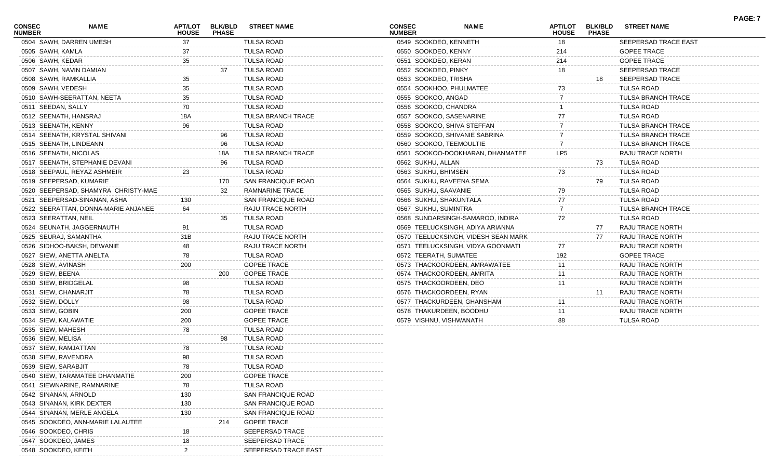| <b>CONSEC</b><br><b>NUMBER</b> | <b>NAME</b>                         | <b>APT/LOT</b><br><b>HOUSE</b> | <b>BLK/BLD</b><br><b>PHASE</b> | <b>STREET NAME</b>        | <b>CONSEC</b><br><b>NUMBER</b> | <b>NAME</b>                         | <b>APT/LOT</b><br><b>HOUSE</b> | <b>BLK/BLD</b><br><b>PHASE</b> | <b>STREET NAME</b>        | PAGE: 7 |
|--------------------------------|-------------------------------------|--------------------------------|--------------------------------|---------------------------|--------------------------------|-------------------------------------|--------------------------------|--------------------------------|---------------------------|---------|
|                                | 0504 SAWH, DARREN UMESH             | 37                             |                                | <b>TULSA ROAD</b>         | 0549 SOOKDEO, KENNETH          |                                     | 18                             |                                | SEEPERSAD TRACE EAST      |         |
| 0505 SAWH, KAMLA               |                                     | 37                             |                                | <b>TULSA ROAD</b>         | 0550 SOOKDEO, KENNY            |                                     | 214                            |                                | <b>GOPEE TRACE</b>        |         |
| 0506 SAWH, KEDAR               |                                     | 35                             |                                | <b>TULSA ROAD</b>         | 0551 SOOKDEO, KERAN            |                                     | 214                            |                                | <b>GOPEE TRACE</b>        |         |
|                                | 0507 SAWH, NAVIN DAMIAN             |                                | 37                             | TULSA ROAD                | 0552 SOOKDEO, PINKY            |                                     | 18                             |                                | SEEPERSAD TRACE           |         |
|                                | 0508 SAWH, RAMKALLIA                | 35                             |                                | <b>TULSA ROAD</b>         | 0553 SOOKDEO, TRISHA           |                                     |                                | 18                             | SEEPERSAD TRACE           |         |
| 0509 SAWH, VEDESH              |                                     | 35                             |                                | <b>TULSA ROAD</b>         | 0554 SOOKHOO, PHULMATEE        |                                     | 73                             |                                | <b>TULSA ROAD</b>         |         |
|                                | 0510 SAWH-SEERATTAN, NEETA          | 35                             |                                | <b>TULSA ROAD</b>         | 0555 SOOKOO, ANGAD             |                                     |                                |                                | <b>TULSA BRANCH TRACE</b> |         |
| 0511 SEEDAN, SALLY             |                                     | 70                             |                                | <b>TULSA ROAD</b>         | 0556 SOOKOO, CHANDRA           |                                     |                                |                                | <b>TULSA ROAD</b>         |         |
|                                | 0512 SEENATH, HANSRAJ               | 18A                            |                                | <b>TULSA BRANCH TRACE</b> | 0557 SOOKOO, SASENARINE        |                                     | 77                             |                                | <b>TULSA ROAD</b>         |         |
| 0513 SEENATH, KENNY            |                                     | 96                             |                                | <b>TULSA ROAD</b>         | 0558 SOOKOO, SHIVA STEFFAN     |                                     |                                |                                | <b>TULSA BRANCH TRACE</b> |         |
|                                | 0514 SEENATH, KRYSTAL SHIVANI       |                                | 96                             | TULSA ROAD                |                                | 0559 SOOKOO, SHIVANIE SABRINA       |                                |                                | <b>TULSA BRANCH TRACE</b> |         |
|                                | 0515 SEENATH, LINDEANN              |                                | 96                             | TULSA ROAD                | 0560 SOOKOO, TEEMOULTIE        |                                     |                                |                                | <b>TULSA BRANCH TRACE</b> |         |
|                                | 0516 SEENATH, NICOLAS               |                                | 18A                            | <b>TULSA BRANCH TRACE</b> |                                | 0561 SOOKOO-DOOKHARAN, DHANMATEE    | LP5                            |                                | RAJU TRACE NORTH          |         |
|                                | 0517 SEENATH, STEPHANIE DEVANI      |                                | 96                             | TULSA ROAD                | 0562 SUKHU, ALLAN              |                                     |                                | 73                             | <b>TULSA ROAD</b>         |         |
|                                | 0518 SEEPAUL, REYAZ ASHMEIR         | 23                             |                                | <b>TULSA ROAD</b>         | 0563 SUKHU, BHIMSEN            |                                     | 73                             |                                | <b>TULSA ROAD</b>         |         |
|                                | 0519 SEEPERSAD, KUMARIE             |                                | 170                            | SAN FRANCIQUE ROAD        | 0564 SUKHU, RAVEENA SEMA       |                                     |                                | 79                             | <b>TULSA ROAD</b>         |         |
|                                | 0520 SEEPERSAD, SHAMYRA CHRISTY-MAE |                                | 32                             | <b>RAMNARINE TRACE</b>    | 0565 SUKHU, SAAVANIE           |                                     | 79                             |                                | <b>TULSA ROAD</b>         |         |
|                                | 0521 SEEPERSAD-SINANAN, ASHA        | 130                            |                                | SAN FRANCIQUE ROAD        | 0566 SUKHU, SHAKUNTALA         |                                     | 77                             |                                | <b>TULSA ROAD</b>         |         |
|                                | 0522 SEERATTAN, DONNA-MARIE ANJANEE | 64                             |                                | RAJU TRACE NORTH          | 0567 SUKHU, SUMINTRA           |                                     |                                |                                | <b>TULSA BRANCH TRACE</b> |         |
| 0523 SEERATTAN, NEIL           |                                     |                                | 35                             | TULSA ROAD                |                                | 0568 SUNDARSINGH-SAMAROO, INDIRA    | 72                             |                                | <b>TULSA ROAD</b>         |         |
|                                | 0524 SEUNATH, JAGGERNAUTH           | 91                             |                                | <b>TULSA ROAD</b>         |                                | 0569 TEELUCKSINGH, ADIYA ARIANNA    |                                | 77                             | RAJU TRACE NORTH          |         |
|                                | 0525 SEURAJ, SAMANTHA               | 31B                            |                                | <b>RAJU TRACE NORTH</b>   |                                | 0570 TEELUCKSINGH, VIDESH SEAN MARK |                                | 77                             | RAJU TRACE NORTH          |         |
|                                | 0526 SIDHOO-BAKSH, DEWANIE          | 48                             |                                | RAJU TRACE NORTH          |                                | 0571 TEELUCKSINGH, VIDYA GOONMATI   | 77                             |                                | RAJU TRACE NORTH          |         |
|                                | 0527 SIEW, ANETTA ANELTA            | 78                             |                                | <b>TULSA ROAD</b>         | 0572 TEERATH, SUMATEE          |                                     | 192                            |                                | <b>GOPEE TRACE</b>        |         |
| 0528 SIEW, AVINASH             |                                     | 200                            |                                | <b>GOPEE TRACE</b>        |                                | 0573 THACKOORDEEN, AMRAWATEE        | 11                             |                                | RAJU TRACE NORTH          |         |
| 0529 SIEW, BEENA               |                                     |                                | 200                            | <b>GOPEE TRACE</b>        | 0574 THACKOORDEEN, AMRITA      |                                     | 11                             |                                | RAJU TRACE NORTH          |         |
| 0530 SIEW, BRIDGELAL           |                                     | 98                             |                                | <b>TULSA ROAD</b>         | 0575 THACKOORDEEN, DEO         |                                     | 11                             |                                | RAJU TRACE NORTH          |         |
| 0531 SIEW, CHANARJIT           |                                     | 78                             |                                | <b>TULSA ROAD</b>         | 0576 THACKOORDEEN, RYAN        |                                     |                                | 11                             | RAJU TRACE NORTH          |         |
| 0532 SIEW, DOLLY               |                                     | 98                             |                                | <b>TULSA ROAD</b>         |                                | 0577 THACKURDEEN, GHANSHAM          |                                |                                | RAJU TRACE NORTH          |         |
| 0533 SIEW, GOBIN               |                                     | 200                            |                                | <b>GOPEE TRACE</b>        | 0578 THAKURDEEN, BOODHU        |                                     | 11                             |                                | RAJU TRACE NORTH          |         |
| 0534 SIEW, KALAWATIE           |                                     | 200                            |                                | <b>GOPEE TRACE</b>        | 0579 VISHNU, VISHWANATH        |                                     | 88                             |                                | <b>TULSA ROAD</b>         |         |
| 0535 SIEW, MAHESH              |                                     | 78                             |                                | <b>TULSA ROAD</b>         |                                |                                     |                                |                                |                           |         |
| 0536 SIEW, MELISA              |                                     |                                | 98                             | TULSA ROAD                |                                |                                     |                                |                                |                           |         |
|                                | 0537 SIEW, RAMJATTAN                | 78                             |                                | <b>TULSA ROAD</b>         |                                |                                     |                                |                                |                           |         |
| 0538 SIEW, RAVENDRA            |                                     | 98                             |                                | <b>TULSA ROAD</b>         |                                |                                     |                                |                                |                           |         |
| 0539 SIEW, SARABJIT            |                                     | 78                             |                                | <b>TULSA ROAD</b>         |                                |                                     |                                |                                |                           |         |
|                                | 0540 SIEW, TARAMATEE DHANMATIE      | 200                            |                                | <b>GOPEE TRACE</b>        |                                |                                     |                                |                                |                           |         |
|                                | 0541 SIEWNARINE, RAMNARINE          | 78                             |                                | <b>TULSA ROAD</b>         |                                |                                     |                                |                                |                           |         |
|                                | 0542 SINANAN, ARNOLD                | 130                            |                                |                           |                                |                                     |                                |                                |                           |         |
|                                |                                     |                                |                                | SAN FRANCIQUE ROAD        |                                |                                     |                                |                                |                           |         |
|                                | 0543 SINANAN, KIRK DEXTER           | 130                            |                                | SAN FRANCIQUE ROAD        |                                |                                     |                                |                                |                           |         |
|                                | 0544 SINANAN, MERLE ANGELA          |                                |                                | SAN FRANCIQUE ROAD        |                                |                                     |                                |                                |                           |         |
|                                | 0545 SOOKDEO, ANN-MARIE LALAUTEE    |                                | 214                            | <b>GOPEE TRACE</b>        |                                |                                     |                                |                                |                           |         |
| 0546 SOOKDEO, CHRIS            |                                     | 18                             |                                | SEEPERSAD TRACE           |                                |                                     |                                |                                |                           |         |
| 0547 SOOKDEO, JAMES            |                                     | 18                             |                                | SEEPERSAD TRACE           |                                |                                     |                                |                                |                           |         |
| 0548 SOOKDEO, KEITH            |                                     |                                |                                | SEEPERSAD TRACE EAST      |                                |                                     |                                |                                |                           |         |